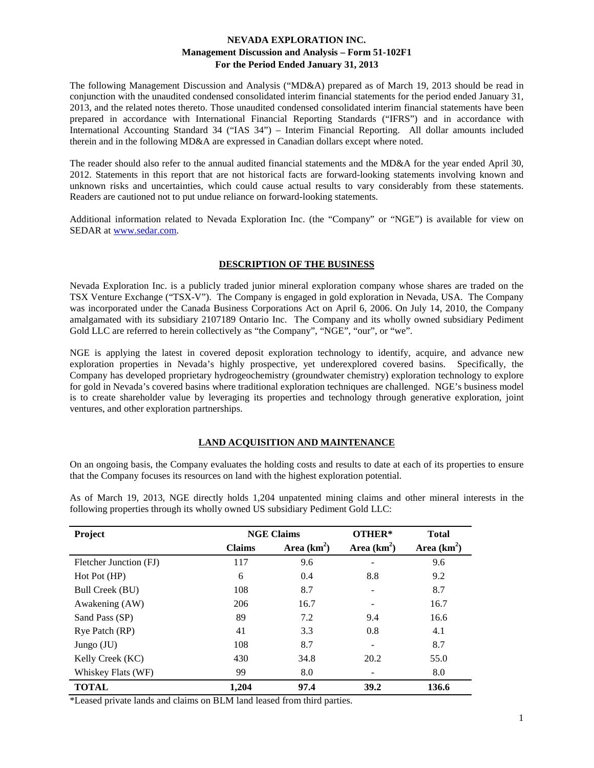The following Management Discussion and Analysis ("MD&A) prepared as of March 19, 2013 should be read in conjunction with the unaudited condensed consolidated interim financial statements for the period ended January 31, 2013, and the related notes thereto. Those unaudited condensed consolidated interim financial statements have been prepared in accordance with International Financial Reporting Standards ("IFRS") and in accordance with International Accounting Standard 34 ("IAS 34") – Interim Financial Reporting. All dollar amounts included therein and in the following MD&A are expressed in Canadian dollars except where noted.

The reader should also refer to the annual audited financial statements and the MD&A for the year ended April 30, 2012. Statements in this report that are not historical facts are forward-looking statements involving known and unknown risks and uncertainties, which could cause actual results to vary considerably from these statements. Readers are cautioned not to put undue reliance on forward-looking statements.

Additional information related to Nevada Exploration Inc. (the "Company" or "NGE") is available for view on SEDAR at [www.sedar.com.](http://www.sedar.com/)

### **DESCRIPTION OF THE BUSINESS**

Nevada Exploration Inc. is a publicly traded junior mineral exploration company whose shares are traded on the TSX Venture Exchange ("TSX-V"). The Company is engaged in gold exploration in Nevada, USA. The Company was incorporated under the Canada Business Corporations Act on April 6, 2006. On July 14, 2010, the Company amalgamated with its subsidiary 2107189 Ontario Inc. The Company and its wholly owned subsidiary Pediment Gold LLC are referred to herein collectively as "the Company", "NGE", "our", or "we".

NGE is applying the latest in covered deposit exploration technology to identify, acquire, and advance new exploration properties in Nevada's highly prospective, yet underexplored covered basins. Specifically, the Company has developed proprietary hydrogeochemistry (groundwater chemistry) exploration technology to explore for gold in Nevada's covered basins where traditional exploration techniques are challenged. NGE's business model is to create shareholder value by leveraging its properties and technology through generative exploration, joint ventures, and other exploration partnerships.

# **LAND ACQUISITION AND MAINTENANCE**

On an ongoing basis, the Company evaluates the holding costs and results to date at each of its properties to ensure that the Company focuses its resources on land with the highest exploration potential.

| Project                | <b>NGE Claims</b> |               | OTHER*          | <b>Total</b>  |  |
|------------------------|-------------------|---------------|-----------------|---------------|--|
|                        | <b>Claims</b>     | Area $(km^2)$ |                 | Area $(km^2)$ |  |
| Fletcher Junction (FJ) | 117               | 9.6           |                 | 9.6           |  |
| Hot Pot (HP)           | 6                 | 0.4           | 8.8             | 9.2           |  |
| Bull Creek (BU)        | 108               | 8.7           |                 | 8.7           |  |
| Awakening (AW)         | 206               | 16.7          |                 | 16.7          |  |
| Sand Pass (SP)         | 89                | 7.2           | 9.4             | 16.6          |  |
| Rye Patch (RP)         | 41                | 3.3           | 0.8             | 4.1           |  |
| Jungo $(JU)$           | 108               | 8.7           | $\qquad \qquad$ | 8.7           |  |
| Kelly Creek (KC)       | 430               | 34.8          | 20.2            | 55.0          |  |
| Whiskey Flats (WF)     | 99                | 8.0           |                 | 8.0           |  |
| <b>TOTAL</b>           | 1,204             | 97.4          | 39.2            | 136.6         |  |

As of March 19, 2013, NGE directly holds 1,204 unpatented mining claims and other mineral interests in the following properties through its wholly owned US subsidiary Pediment Gold LLC:

\*Leased private lands and claims on BLM land leased from third parties.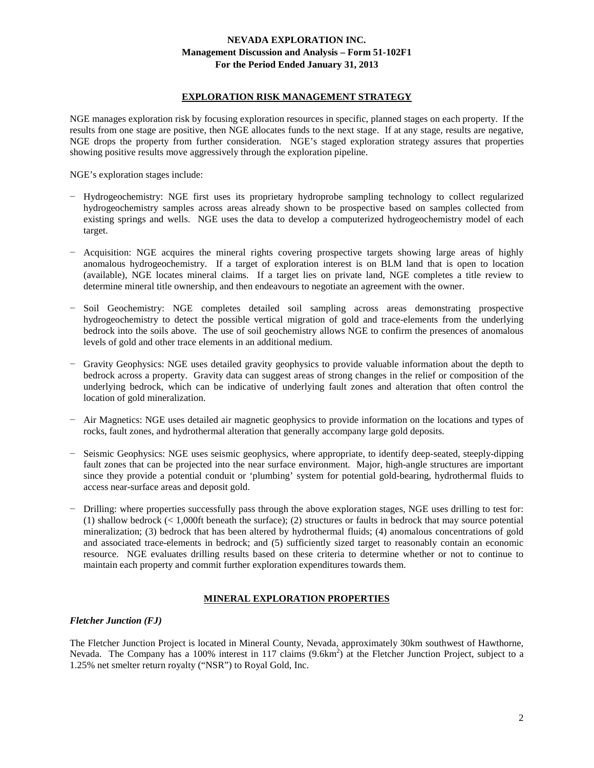### **EXPLORATION RISK MANAGEMENT STRATEGY**

NGE manages exploration risk by focusing exploration resources in specific, planned stages on each property. If the results from one stage are positive, then NGE allocates funds to the next stage. If at any stage, results are negative, NGE drops the property from further consideration. NGE's staged exploration strategy assures that properties showing positive results move aggressively through the exploration pipeline.

NGE's exploration stages include:

- − Hydrogeochemistry: NGE first uses its proprietary hydroprobe sampling technology to collect regularized hydrogeochemistry samples across areas already shown to be prospective based on samples collected from existing springs and wells. NGE uses the data to develop a computerized hydrogeochemistry model of each target.
- − Acquisition: NGE acquires the mineral rights covering prospective targets showing large areas of highly anomalous hydrogeochemistry. If a target of exploration interest is on BLM land that is open to location (available), NGE locates mineral claims. If a target lies on private land, NGE completes a title review to determine mineral title ownership, and then endeavours to negotiate an agreement with the owner.
- − Soil Geochemistry: NGE completes detailed soil sampling across areas demonstrating prospective hydrogeochemistry to detect the possible vertical migration of gold and trace-elements from the underlying bedrock into the soils above. The use of soil geochemistry allows NGE to confirm the presences of anomalous levels of gold and other trace elements in an additional medium.
- − Gravity Geophysics: NGE uses detailed gravity geophysics to provide valuable information about the depth to bedrock across a property. Gravity data can suggest areas of strong changes in the relief or composition of the underlying bedrock, which can be indicative of underlying fault zones and alteration that often control the location of gold mineralization.
- − Air Magnetics: NGE uses detailed air magnetic geophysics to provide information on the locations and types of rocks, fault zones, and hydrothermal alteration that generally accompany large gold deposits.
- − Seismic Geophysics: NGE uses seismic geophysics, where appropriate, to identify deep-seated, steeply-dipping fault zones that can be projected into the near surface environment. Major, high-angle structures are important since they provide a potential conduit or 'plumbing' system for potential gold-bearing, hydrothermal fluids to access near-surface areas and deposit gold.
- − Drilling: where properties successfully pass through the above exploration stages, NGE uses drilling to test for: (1) shallow bedrock (< 1,000ft beneath the surface); (2) structures or faults in bedrock that may source potential mineralization; (3) bedrock that has been altered by hydrothermal fluids; (4) anomalous concentrations of gold and associated trace-elements in bedrock; and (5) sufficiently sized target to reasonably contain an economic resource. NGE evaluates drilling results based on these criteria to determine whether or not to continue to maintain each property and commit further exploration expenditures towards them.

### **MINERAL EXPLORATION PROPERTIES**

#### *Fletcher Junction (FJ)*

The Fletcher Junction Project is located in Mineral County, Nevada, approximately 30km southwest of Hawthorne, Nevada. The Company has a 100% interest in 117 claims (9.6km<sup>2</sup>) at the Fletcher Junction Project, subject to a 1.25% net smelter return royalty ("NSR") to Royal Gold, Inc.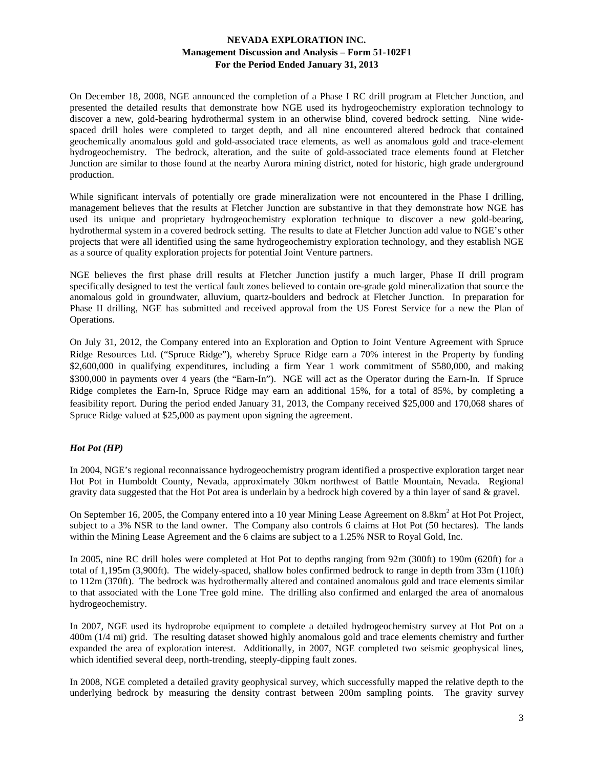On December 18, 2008, NGE announced the completion of a Phase I RC drill program at Fletcher Junction, and presented the detailed results that demonstrate how NGE used its hydrogeochemistry exploration technology to discover a new, gold-bearing hydrothermal system in an otherwise blind, covered bedrock setting. Nine widespaced drill holes were completed to target depth, and all nine encountered altered bedrock that contained geochemically anomalous gold and gold-associated trace elements, as well as anomalous gold and trace-element hydrogeochemistry. The bedrock, alteration, and the suite of gold-associated trace elements found at Fletcher Junction are similar to those found at the nearby Aurora mining district, noted for historic, high grade underground production.

While significant intervals of potentially ore grade mineralization were not encountered in the Phase I drilling, management believes that the results at Fletcher Junction are substantive in that they demonstrate how NGE has used its unique and proprietary hydrogeochemistry exploration technique to discover a new gold-bearing, hydrothermal system in a covered bedrock setting. The results to date at Fletcher Junction add value to NGE's other projects that were all identified using the same hydrogeochemistry exploration technology, and they establish NGE as a source of quality exploration projects for potential Joint Venture partners.

NGE believes the first phase drill results at Fletcher Junction justify a much larger, Phase II drill program specifically designed to test the vertical fault zones believed to contain ore-grade gold mineralization that source the anomalous gold in groundwater, alluvium, quartz-boulders and bedrock at Fletcher Junction. In preparation for Phase II drilling, NGE has submitted and received approval from the US Forest Service for a new the Plan of Operations.

On July 31, 2012, the Company entered into an Exploration and Option to Joint Venture Agreement with Spruce Ridge Resources Ltd. ("Spruce Ridge"), whereby Spruce Ridge earn a 70% interest in the Property by funding \$2,600,000 in qualifying expenditures, including a firm Year 1 work commitment of \$580,000, and making \$300,000 in payments over 4 years (the "Earn-In"). NGE will act as the Operator during the Earn-In. If Spruce Ridge completes the Earn-In, Spruce Ridge may earn an additional 15%, for a total of 85%, by completing a feasibility report. During the period ended January 31, 2013, the Company received \$25,000 and 170,068 shares of Spruce Ridge valued at \$25,000 as payment upon signing the agreement.

# *Hot Pot (HP)*

In 2004, NGE's regional reconnaissance hydrogeochemistry program identified a prospective exploration target near Hot Pot in Humboldt County, Nevada, approximately 30km northwest of Battle Mountain, Nevada. Regional gravity data suggested that the Hot Pot area is underlain by a bedrock high covered by a thin layer of sand & gravel.

On September 16, 2005, the Company entered into a 10 year Mining Lease Agreement on 8.8km<sup>2</sup> at Hot Pot Project, subject to a 3% NSR to the land owner. The Company also controls 6 claims at Hot Pot (50 hectares). The lands within the Mining Lease Agreement and the 6 claims are subject to a 1.25% NSR to Royal Gold, Inc.

In 2005, nine RC drill holes were completed at Hot Pot to depths ranging from 92m (300ft) to 190m (620ft) for a total of 1,195m (3,900ft). The widely-spaced, shallow holes confirmed bedrock to range in depth from 33m (110ft) to 112m (370ft). The bedrock was hydrothermally altered and contained anomalous gold and trace elements similar to that associated with the Lone Tree gold mine. The drilling also confirmed and enlarged the area of anomalous hydrogeochemistry.

In 2007, NGE used its hydroprobe equipment to complete a detailed hydrogeochemistry survey at Hot Pot on a 400m (1/4 mi) grid. The resulting dataset showed highly anomalous gold and trace elements chemistry and further expanded the area of exploration interest. Additionally, in 2007, NGE completed two seismic geophysical lines, which identified several deep, north-trending, steeply-dipping fault zones.

In 2008, NGE completed a detailed gravity geophysical survey, which successfully mapped the relative depth to the underlying bedrock by measuring the density contrast between 200m sampling points. The gravity survey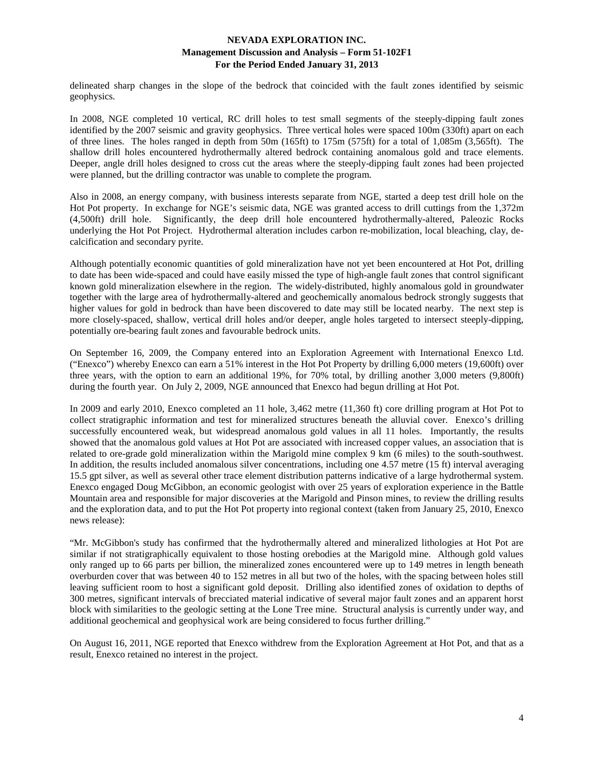delineated sharp changes in the slope of the bedrock that coincided with the fault zones identified by seismic geophysics.

In 2008, NGE completed 10 vertical, RC drill holes to test small segments of the steeply-dipping fault zones identified by the 2007 seismic and gravity geophysics. Three vertical holes were spaced 100m (330ft) apart on each of three lines. The holes ranged in depth from 50m (165ft) to 175m (575ft) for a total of 1,085m (3,565ft). The shallow drill holes encountered hydrothermally altered bedrock containing anomalous gold and trace elements. Deeper, angle drill holes designed to cross cut the areas where the steeply-dipping fault zones had been projected were planned, but the drilling contractor was unable to complete the program.

Also in 2008, an energy company, with business interests separate from NGE, started a deep test drill hole on the Hot Pot property. In exchange for NGE's seismic data, NGE was granted access to drill cuttings from the 1,372m (4,500ft) drill hole. Significantly, the deep drill hole encountered hydrothermally-altered, Paleozic Rocks underlying the Hot Pot Project. Hydrothermal alteration includes carbon re-mobilization, local bleaching, clay, decalcification and secondary pyrite.

Although potentially economic quantities of gold mineralization have not yet been encountered at Hot Pot, drilling to date has been wide-spaced and could have easily missed the type of high-angle fault zones that control significant known gold mineralization elsewhere in the region. The widely-distributed, highly anomalous gold in groundwater together with the large area of hydrothermally-altered and geochemically anomalous bedrock strongly suggests that higher values for gold in bedrock than have been discovered to date may still be located nearby. The next step is more closely-spaced, shallow, vertical drill holes and/or deeper, angle holes targeted to intersect steeply-dipping, potentially ore-bearing fault zones and favourable bedrock units.

On September 16, 2009, the Company entered into an Exploration Agreement with International Enexco Ltd. ("Enexco") whereby Enexco can earn a 51% interest in the Hot Pot Property by drilling 6,000 meters (19,600ft) over three years, with the option to earn an additional 19%, for 70% total, by drilling another 3,000 meters (9,800ft) during the fourth year. On July 2, 2009, NGE announced that Enexco had begun drilling at Hot Pot.

In 2009 and early 2010, Enexco completed an 11 hole, 3,462 metre (11,360 ft) core drilling program at Hot Pot to collect stratigraphic information and test for mineralized structures beneath the alluvial cover. Enexco's drilling successfully encountered weak, but widespread anomalous gold values in all 11 holes. Importantly, the results showed that the anomalous gold values at Hot Pot are associated with increased copper values, an association that is related to ore-grade gold mineralization within the Marigold mine complex 9 km (6 miles) to the south-southwest. In addition, the results included anomalous silver concentrations, including one 4.57 metre (15 ft) interval averaging 15.5 gpt silver, as well as several other trace element distribution patterns indicative of a large hydrothermal system. Enexco engaged Doug McGibbon, an economic geologist with over 25 years of exploration experience in the Battle Mountain area and responsible for major discoveries at the Marigold and Pinson mines, to review the drilling results and the exploration data, and to put the Hot Pot property into regional context (taken from January 25, 2010, Enexco news release):

"Mr. McGibbon's study has confirmed that the hydrothermally altered and mineralized lithologies at Hot Pot are similar if not stratigraphically equivalent to those hosting orebodies at the Marigold mine. Although gold values only ranged up to 66 parts per billion, the mineralized zones encountered were up to 149 metres in length beneath overburden cover that was between 40 to 152 metres in all but two of the holes, with the spacing between holes still leaving sufficient room to host a significant gold deposit. Drilling also identified zones of oxidation to depths of 300 metres, significant intervals of brecciated material indicative of several major fault zones and an apparent horst block with similarities to the geologic setting at the Lone Tree mine. Structural analysis is currently under way, and additional geochemical and geophysical work are being considered to focus further drilling."

On August 16, 2011, NGE reported that Enexco withdrew from the Exploration Agreement at Hot Pot, and that as a result, Enexco retained no interest in the project.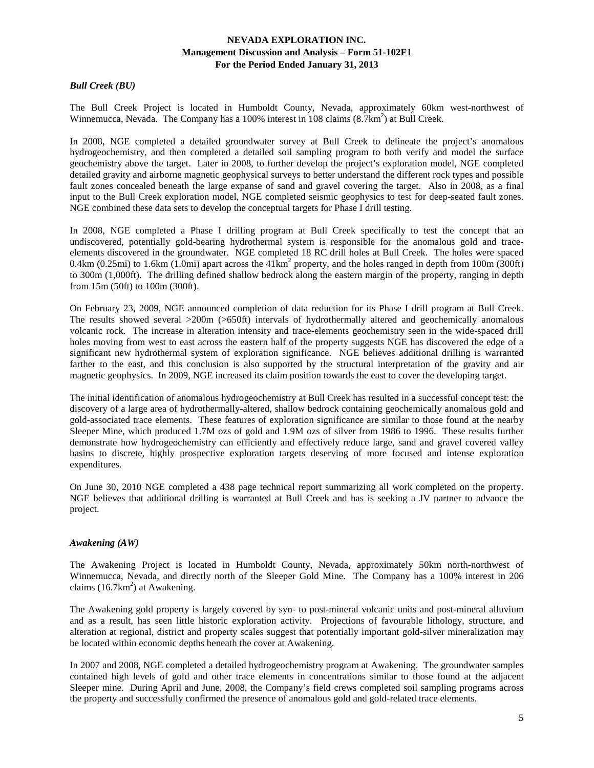# *Bull Creek (BU)*

The Bull Creek Project is located in Humboldt County, Nevada, approximately 60km west-northwest of Winnemucca, Nevada. The Company has a 100% interest in 108 claims  $(8.7 \text{km}^2)$  at Bull Creek.

In 2008, NGE completed a detailed groundwater survey at Bull Creek to delineate the project's anomalous hydrogeochemistry, and then completed a detailed soil sampling program to both verify and model the surface geochemistry above the target. Later in 2008, to further develop the project's exploration model, NGE completed detailed gravity and airborne magnetic geophysical surveys to better understand the different rock types and possible fault zones concealed beneath the large expanse of sand and gravel covering the target. Also in 2008, as a final input to the Bull Creek exploration model, NGE completed seismic geophysics to test for deep-seated fault zones. NGE combined these data sets to develop the conceptual targets for Phase I drill testing.

In 2008, NGE completed a Phase I drilling program at Bull Creek specifically to test the concept that an undiscovered, potentially gold-bearing hydrothermal system is responsible for the anomalous gold and traceelements discovered in the groundwater. NGE completed 18 RC drill holes at Bull Creek. The holes were spaced 0.4km (0.25mi) to 1.6km (1.0mi) apart across the  $41 \text{km}^2$  property, and the holes ranged in depth from 100m (300ft) to 300m (1,000ft). The drilling defined shallow bedrock along the eastern margin of the property, ranging in depth from 15m (50ft) to 100m (300ft).

On February 23, 2009, NGE announced completion of data reduction for its Phase I drill program at Bull Creek. The results showed several >200m (>650ft) intervals of hydrothermally altered and geochemically anomalous volcanic rock. The increase in alteration intensity and trace-elements geochemistry seen in the wide-spaced drill holes moving from west to east across the eastern half of the property suggests NGE has discovered the edge of a significant new hydrothermal system of exploration significance. NGE believes additional drilling is warranted farther to the east, and this conclusion is also supported by the structural interpretation of the gravity and air magnetic geophysics. In 2009, NGE increased its claim position towards the east to cover the developing target.

The initial identification of anomalous hydrogeochemistry at Bull Creek has resulted in a successful concept test: the discovery of a large area of hydrothermally-altered, shallow bedrock containing geochemically anomalous gold and gold-associated trace elements. These features of exploration significance are similar to those found at the nearby Sleeper Mine, which produced 1.7M ozs of gold and 1.9M ozs of silver from 1986 to 1996. These results further demonstrate how hydrogeochemistry can efficiently and effectively reduce large, sand and gravel covered valley basins to discrete, highly prospective exploration targets deserving of more focused and intense exploration expenditures.

On June 30, 2010 NGE completed a 438 page technical report summarizing all work completed on the property. NGE believes that additional drilling is warranted at Bull Creek and has is seeking a JV partner to advance the project.

### *Awakening (AW)*

The Awakening Project is located in Humboldt County, Nevada, approximately 50km north-northwest of Winnemucca, Nevada, and directly north of the Sleeper Gold Mine. The Company has a 100% interest in 206 claims  $(16.7 \text{km}^2)$  at Awakening.

The Awakening gold property is largely covered by syn- to post-mineral volcanic units and post-mineral alluvium and as a result, has seen little historic exploration activity. Projections of favourable lithology, structure, and alteration at regional, district and property scales suggest that potentially important gold-silver mineralization may be located within economic depths beneath the cover at Awakening.

In 2007 and 2008, NGE completed a detailed hydrogeochemistry program at Awakening. The groundwater samples contained high levels of gold and other trace elements in concentrations similar to those found at the adjacent Sleeper mine. During April and June, 2008, the Company's field crews completed soil sampling programs across the property and successfully confirmed the presence of anomalous gold and gold-related trace elements.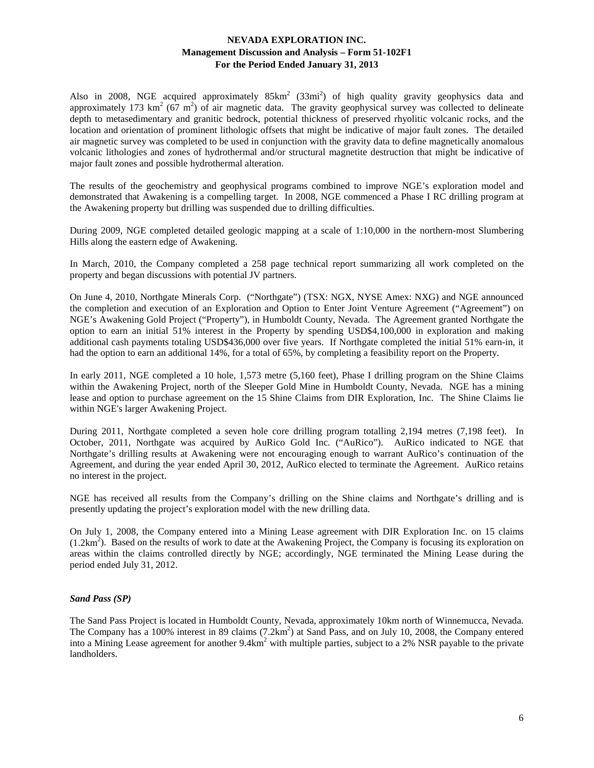Also in 2008, NGE acquired approximately  $85 \text{km}^2$  (33mi<sup>2</sup>) of high quality gravity geophysics data and approximately 173 km<sup>2</sup> (67 m<sup>2</sup>) of air magnetic data. The gravity geophysical survey was collected to delineate depth to metasedimentary and granitic bedrock, potential thickness of preserved rhyolitic volcanic rocks, and the location and orientation of prominent lithologic offsets that might be indicative of major fault zones. The detailed air magnetic survey was completed to be used in conjunction with the gravity data to define magnetically anomalous volcanic lithologies and zones of hydrothermal and/or structural magnetite destruction that might be indicative of major fault zones and possible hydrothermal alteration.

The results of the geochemistry and geophysical programs combined to improve NGE's exploration model and demonstrated that Awakening is a compelling target. In 2008, NGE commenced a Phase I RC drilling program at the Awakening property but drilling was suspended due to drilling difficulties.

During 2009, NGE completed detailed geologic mapping at a scale of 1:10,000 in the northern-most Slumbering Hills along the eastern edge of Awakening.

In March, 2010, the Company completed a 258 page technical report summarizing all work completed on the property and began discussions with potential JV partners.

On June 4, 2010, Northgate Minerals Corp. ("Northgate") (TSX: NGX, NYSE Amex: NXG) and NGE announced the completion and execution of an Exploration and Option to Enter Joint Venture Agreement ("Agreement") on NGE's Awakening Gold Project ("Property"), in Humboldt County, Nevada. The Agreement granted Northgate the option to earn an initial 51% interest in the Property by spending USD\$4,100,000 in exploration and making additional cash payments totaling USD\$436,000 over five years. If Northgate completed the initial 51% earn-in, it had the option to earn an additional 14%, for a total of 65%, by completing a feasibility report on the Property.

In early 2011, NGE completed a 10 hole, 1,573 metre (5,160 feet), Phase I drilling program on the Shine Claims within the Awakening Project, north of the Sleeper Gold Mine in Humboldt County, Nevada. NGE has a mining lease and option to purchase agreement on the 15 Shine Claims from DIR Exploration, Inc. The Shine Claims lie within NGE's larger Awakening Project.

During 2011, Northgate completed a seven hole core drilling program totalling 2,194 metres (7,198 feet). In October, 2011, Northgate was acquired by AuRico Gold Inc. ("AuRico"). AuRico indicated to NGE that Northgate's drilling results at Awakening were not encouraging enough to warrant AuRico's continuation of the Agreement, and during the year ended April 30, 2012, AuRico elected to terminate the Agreement. AuRico retains no interest in the project.

NGE has received all results from the Company's drilling on the Shine claims and Northgate's drilling and is presently updating the project's exploration model with the new drilling data.

On July 1, 2008, the Company entered into a Mining Lease agreement with DIR Exploration Inc. on 15 claims  $(1.2km<sup>2</sup>)$ . Based on the results of work to date at the Awakening Project, the Company is focusing its exploration on areas within the claims controlled directly by NGE; accordingly, NGE terminated the Mining Lease during the period ended July 31, 2012.

### *Sand Pass (SP)*

The Sand Pass Project is located in Humboldt County, Nevada, approximately 10km north of Winnemucca, Nevada. The Company has a 100% interest in 89 claims (7.2km<sup>2</sup>) at Sand Pass, and on July 10, 2008, the Company entered into a Mining Lease agreement for another  $9.4 \text{km}^2$  with multiple parties, subject to a 2% NSR payable to the private landholders.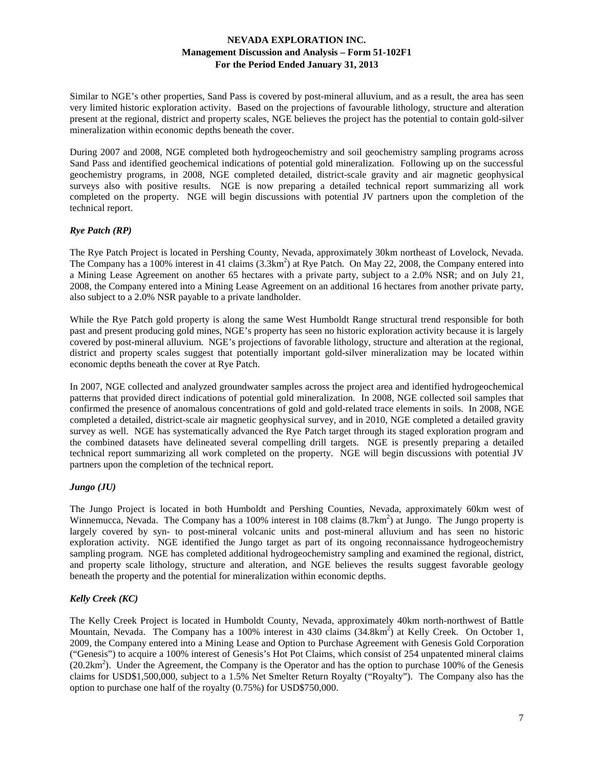Similar to NGE's other properties, Sand Pass is covered by post-mineral alluvium, and as a result, the area has seen very limited historic exploration activity. Based on the projections of favourable lithology, structure and alteration present at the regional, district and property scales, NGE believes the project has the potential to contain gold-silver mineralization within economic depths beneath the cover.

During 2007 and 2008, NGE completed both hydrogeochemistry and soil geochemistry sampling programs across Sand Pass and identified geochemical indications of potential gold mineralization. Following up on the successful geochemistry programs, in 2008, NGE completed detailed, district-scale gravity and air magnetic geophysical surveys also with positive results. NGE is now preparing a detailed technical report summarizing all work completed on the property. NGE will begin discussions with potential JV partners upon the completion of the technical report.

# *Rye Patch (RP)*

The Rye Patch Project is located in Pershing County, Nevada, approximately 30km northeast of Lovelock, Nevada. The Company has a 100% interest in 41 claims (3.3km<sup>2</sup>) at Rye Patch. On May 22, 2008, the Company entered into a Mining Lease Agreement on another 65 hectares with a private party, subject to a 2.0% NSR; and on July 21, 2008, the Company entered into a Mining Lease Agreement on an additional 16 hectares from another private party, also subject to a 2.0% NSR payable to a private landholder.

While the Rye Patch gold property is along the same West Humboldt Range structural trend responsible for both past and present producing gold mines, NGE's property has seen no historic exploration activity because it is largely covered by post-mineral alluvium. NGE's projections of favorable lithology, structure and alteration at the regional, district and property scales suggest that potentially important gold-silver mineralization may be located within economic depths beneath the cover at Rye Patch.

In 2007, NGE collected and analyzed groundwater samples across the project area and identified hydrogeochemical patterns that provided direct indications of potential gold mineralization. In 2008, NGE collected soil samples that confirmed the presence of anomalous concentrations of gold and gold-related trace elements in soils. In 2008, NGE completed a detailed, district-scale air magnetic geophysical survey, and in 2010, NGE completed a detailed gravity survey as well. NGE has systematically advanced the Rye Patch target through its staged exploration program and the combined datasets have delineated several compelling drill targets. NGE is presently preparing a detailed technical report summarizing all work completed on the property. NGE will begin discussions with potential JV partners upon the completion of the technical report.

### *Jungo (JU)*

The Jungo Project is located in both Humboldt and Pershing Counties, Nevada, approximately 60km west of Winnemucca, Nevada. The Company has a 100% interest in 108 claims  $(8.7 \text{km}^2)$  at Jungo. The Jungo property is largely covered by syn- to post-mineral volcanic units and post-mineral alluvium and has seen no historic exploration activity. NGE identified the Jungo target as part of its ongoing reconnaissance hydrogeochemistry sampling program. NGE has completed additional hydrogeochemistry sampling and examined the regional, district, and property scale lithology, structure and alteration, and NGE believes the results suggest favorable geology beneath the property and the potential for mineralization within economic depths.

# *Kelly Creek (KC)*

The Kelly Creek Project is located in Humboldt County, Nevada, approximately 40km north-northwest of Battle Mountain, Nevada. The Company has a 100% interest in 430 claims (34.8km<sup>2</sup>) at Kelly Creek. On October 1, 2009, the Company entered into a Mining Lease and Option to Purchase Agreement with Genesis Gold Corporation ("Genesis") to acquire a 100% interest of Genesis's Hot Pot Claims, which consist of 254 unpatented mineral claims  $(20.2 \text{km}^2)$ . Under the Agreement, the Company is the Operator and has the option to purchase 100% of the Genesis claims for USD\$1,500,000, subject to a 1.5% Net Smelter Return Royalty ("Royalty"). The Company also has the option to purchase one half of the royalty (0.75%) for USD\$750,000.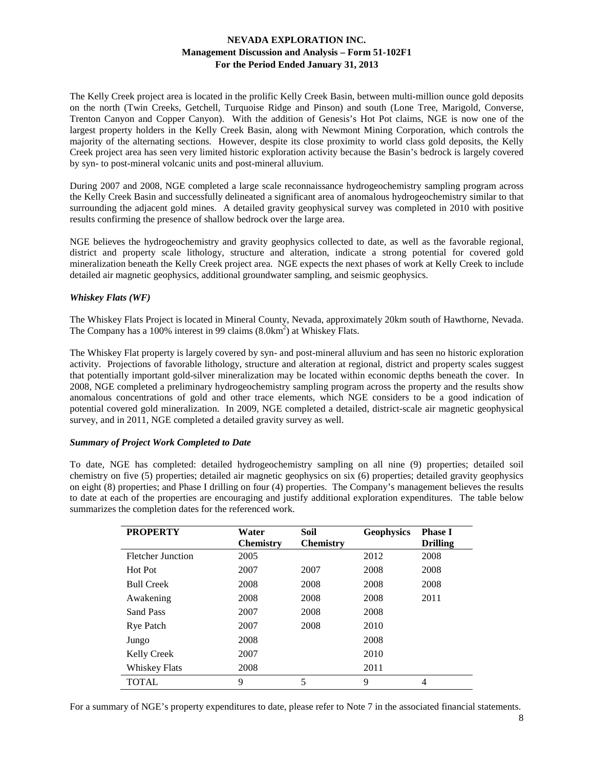The Kelly Creek project area is located in the prolific Kelly Creek Basin, between multi-million ounce gold deposits on the north (Twin Creeks, Getchell, Turquoise Ridge and Pinson) and south (Lone Tree, Marigold, Converse, Trenton Canyon and Copper Canyon). With the addition of Genesis's Hot Pot claims, NGE is now one of the largest property holders in the Kelly Creek Basin, along with Newmont Mining Corporation, which controls the majority of the alternating sections. However, despite its close proximity to world class gold deposits, the Kelly Creek project area has seen very limited historic exploration activity because the Basin's bedrock is largely covered by syn- to post-mineral volcanic units and post-mineral alluvium.

During 2007 and 2008, NGE completed a large scale reconnaissance hydrogeochemistry sampling program across the Kelly Creek Basin and successfully delineated a significant area of anomalous hydrogeochemistry similar to that surrounding the adjacent gold mines. A detailed gravity geophysical survey was completed in 2010 with positive results confirming the presence of shallow bedrock over the large area.

NGE believes the hydrogeochemistry and gravity geophysics collected to date, as well as the favorable regional, district and property scale lithology, structure and alteration, indicate a strong potential for covered gold mineralization beneath the Kelly Creek project area. NGE expects the next phases of work at Kelly Creek to include detailed air magnetic geophysics, additional groundwater sampling, and seismic geophysics.

### *Whiskey Flats (WF)*

The Whiskey Flats Project is located in Mineral County, Nevada, approximately 20km south of Hawthorne, Nevada. The Company has a 100% interest in 99 claims  $(8.0 \text{km}^2)$  at Whiskey Flats.

The Whiskey Flat property is largely covered by syn- and post-mineral alluvium and has seen no historic exploration activity. Projections of favorable lithology, structure and alteration at regional, district and property scales suggest that potentially important gold-silver mineralization may be located within economic depths beneath the cover. In 2008, NGE completed a preliminary hydrogeochemistry sampling program across the property and the results show anomalous concentrations of gold and other trace elements, which NGE considers to be a good indication of potential covered gold mineralization. In 2009, NGE completed a detailed, district-scale air magnetic geophysical survey, and in 2011, NGE completed a detailed gravity survey as well.

## *Summary of Project Work Completed to Date*

To date, NGE has completed: detailed hydrogeochemistry sampling on all nine (9) properties; detailed soil chemistry on five (5) properties; detailed air magnetic geophysics on six (6) properties; detailed gravity geophysics on eight (8) properties; and Phase I drilling on four (4) properties. The Company's management believes the results to date at each of the properties are encouraging and justify additional exploration expenditures. The table below summarizes the completion dates for the referenced work.

| <b>PROPERTY</b>          | Water<br><b>Chemistry</b> | Soil<br><b>Chemistry</b> | <b>Geophysics</b> | <b>Phase I</b><br><b>Drilling</b> |
|--------------------------|---------------------------|--------------------------|-------------------|-----------------------------------|
| <b>Fletcher Junction</b> | 2005                      |                          | 2012              | 2008                              |
| Hot Pot                  | 2007                      | 2007                     | 2008              | 2008                              |
| <b>Bull Creek</b>        | 2008                      | 2008<br>2008             |                   | 2008                              |
| Awakening                | 2008                      | 2008                     | 2008              | 2011                              |
| <b>Sand Pass</b>         | 2007                      | 2008                     | 2008              |                                   |
| <b>Rye Patch</b>         | 2007                      | 2008                     | 2010              |                                   |
| Jungo                    | 2008                      |                          | 2008              |                                   |
| <b>Kelly Creek</b>       | 2007                      |                          | 2010              |                                   |
| <b>Whiskey Flats</b>     | 2008                      |                          | 2011              |                                   |
| <b>TOTAL</b>             | 9                         | 5                        | 9                 | $\overline{4}$                    |

For a summary of NGE's property expenditures to date, please refer to Note 7 in the associated financial statements.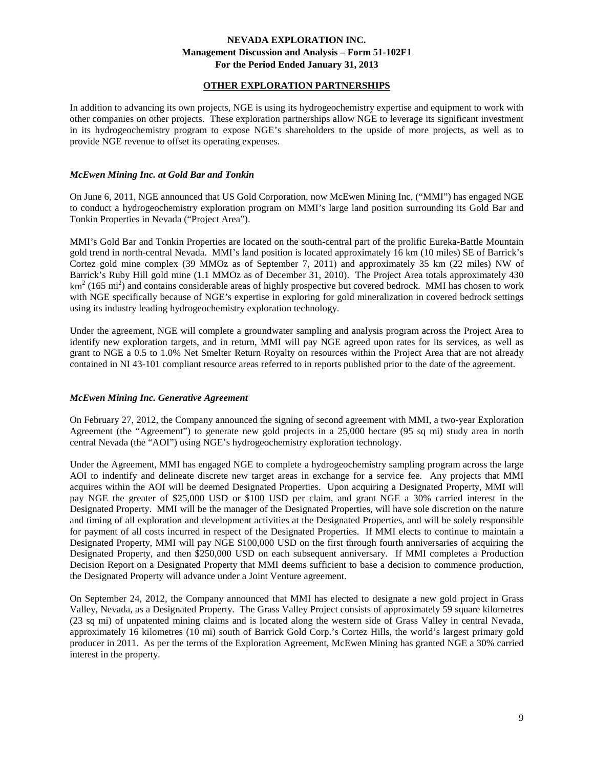# **OTHER EXPLORATION PARTNERSHIPS**

In addition to advancing its own projects, NGE is using its hydrogeochemistry expertise and equipment to work with other companies on other projects. These exploration partnerships allow NGE to leverage its significant investment in its hydrogeochemistry program to expose NGE's shareholders to the upside of more projects, as well as to provide NGE revenue to offset its operating expenses.

### *McEwen Mining Inc. at Gold Bar and Tonkin*

On June 6, 2011, NGE announced that US Gold Corporation, now McEwen Mining Inc, ("MMI") has engaged NGE to conduct a hydrogeochemistry exploration program on MMI's large land position surrounding its Gold Bar and Tonkin Properties in Nevada ("Project Area").

MMI's Gold Bar and Tonkin Properties are located on the south-central part of the prolific Eureka-Battle Mountain gold trend in north-central Nevada. MMI's land position is located approximately 16 km (10 miles) SE of Barrick's Cortez gold mine complex (39 MMOz as of September 7, 2011) and approximately 35 km (22 miles) NW of Barrick's Ruby Hill gold mine (1.1 MMOz as of December 31, 2010). The Project Area totals approximately 430  $km<sup>2</sup>$  (165 mi<sup>2</sup>) and contains considerable areas of highly prospective but covered bedrock. MMI has chosen to work with NGE specifically because of NGE's expertise in exploring for gold mineralization in covered bedrock settings using its industry leading hydrogeochemistry exploration technology.

Under the agreement, NGE will complete a groundwater sampling and analysis program across the Project Area to identify new exploration targets, and in return, MMI will pay NGE agreed upon rates for its services, as well as grant to NGE a 0.5 to 1.0% Net Smelter Return Royalty on resources within the Project Area that are not already contained in NI 43-101 compliant resource areas referred to in reports published prior to the date of the agreement.

### *McEwen Mining Inc. Generative Agreement*

On February 27, 2012, the Company announced the signing of second agreement with MMI, a two-year Exploration Agreement (the "Agreement") to generate new gold projects in a 25,000 hectare (95 sq mi) study area in north central Nevada (the "AOI") using NGE's hydrogeochemistry exploration technology.

Under the Agreement, MMI has engaged NGE to complete a hydrogeochemistry sampling program across the large AOI to indentify and delineate discrete new target areas in exchange for a service fee. Any projects that MMI acquires within the AOI will be deemed Designated Properties. Upon acquiring a Designated Property, MMI will pay NGE the greater of \$25,000 USD or \$100 USD per claim, and grant NGE a 30% carried interest in the Designated Property. MMI will be the manager of the Designated Properties, will have sole discretion on the nature and timing of all exploration and development activities at the Designated Properties, and will be solely responsible for payment of all costs incurred in respect of the Designated Properties. If MMI elects to continue to maintain a Designated Property, MMI will pay NGE \$100,000 USD on the first through fourth anniversaries of acquiring the Designated Property, and then \$250,000 USD on each subsequent anniversary. If MMI completes a Production Decision Report on a Designated Property that MMI deems sufficient to base a decision to commence production, the Designated Property will advance under a Joint Venture agreement.

On September 24, 2012, the Company announced that MMI has elected to designate a new gold project in Grass Valley, Nevada, as a Designated Property. The Grass Valley Project consists of approximately 59 square kilometres (23 sq mi) of unpatented mining claims and is located along the western side of Grass Valley in central Nevada, approximately 16 kilometres (10 mi) south of Barrick Gold Corp.'s Cortez Hills, the world's largest primary gold producer in 2011. As per the terms of the Exploration Agreement, McEwen Mining has granted NGE a 30% carried interest in the property.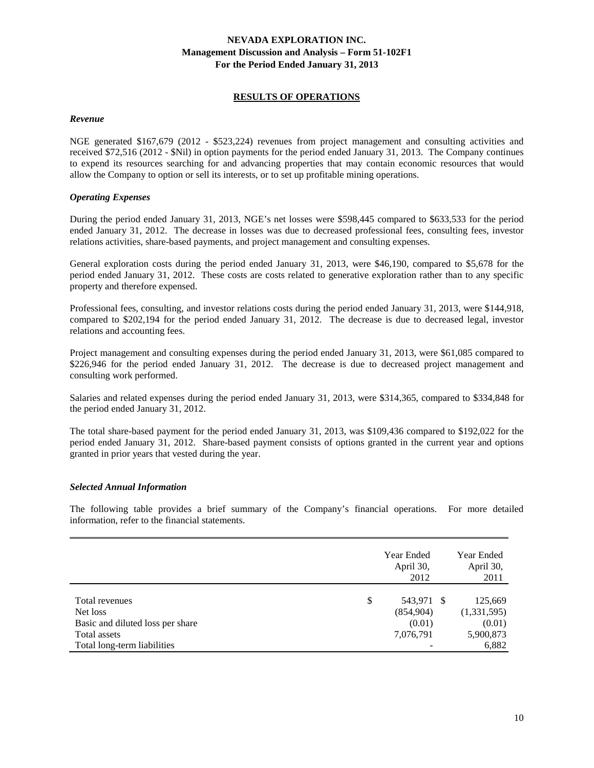# **RESULTS OF OPERATIONS**

#### *Revenue*

NGE generated \$167,679 (2012 - \$523,224) revenues from project management and consulting activities and received \$72,516 (2012 - \$Nil) in option payments for the period ended January 31, 2013. The Company continues to expend its resources searching for and advancing properties that may contain economic resources that would allow the Company to option or sell its interests, or to set up profitable mining operations.

### *Operating Expenses*

During the period ended January 31, 2013, NGE's net losses were \$598,445 compared to \$633,533 for the period ended January 31, 2012. The decrease in losses was due to decreased professional fees, consulting fees, investor relations activities, share-based payments, and project management and consulting expenses.

General exploration costs during the period ended January 31, 2013, were \$46,190, compared to \$5,678 for the period ended January 31, 2012. These costs are costs related to generative exploration rather than to any specific property and therefore expensed.

Professional fees, consulting, and investor relations costs during the period ended January 31, 2013, were \$144,918, compared to \$202,194 for the period ended January 31, 2012. The decrease is due to decreased legal, investor relations and accounting fees.

Project management and consulting expenses during the period ended January 31, 2013, were \$61,085 compared to \$226,946 for the period ended January 31, 2012. The decrease is due to decreased project management and consulting work performed.

Salaries and related expenses during the period ended January 31, 2013, were \$314,365, compared to \$334,848 for the period ended January 31, 2012.

The total share-based payment for the period ended January 31, 2013, was \$109,436 compared to \$192,022 for the period ended January 31, 2012. Share-based payment consists of options granted in the current year and options granted in prior years that vested during the year.

### *Selected Annual Information*

The following table provides a brief summary of the Company's financial operations. For more detailed information, refer to the financial statements.

|                                  | Year Ended<br>April 30,<br>2012 |     | Year Ended<br>April 30,<br>2011 |
|----------------------------------|---------------------------------|-----|---------------------------------|
| Total revenues                   | \$<br>543,971                   | - S | 125,669                         |
| Net loss                         | (854,904)                       |     | (1,331,595)                     |
| Basic and diluted loss per share | (0.01)                          |     | (0.01)                          |
| Total assets                     | 7,076,791                       |     | 5,900,873                       |
| Total long-term liabilities      |                                 |     | 6,882                           |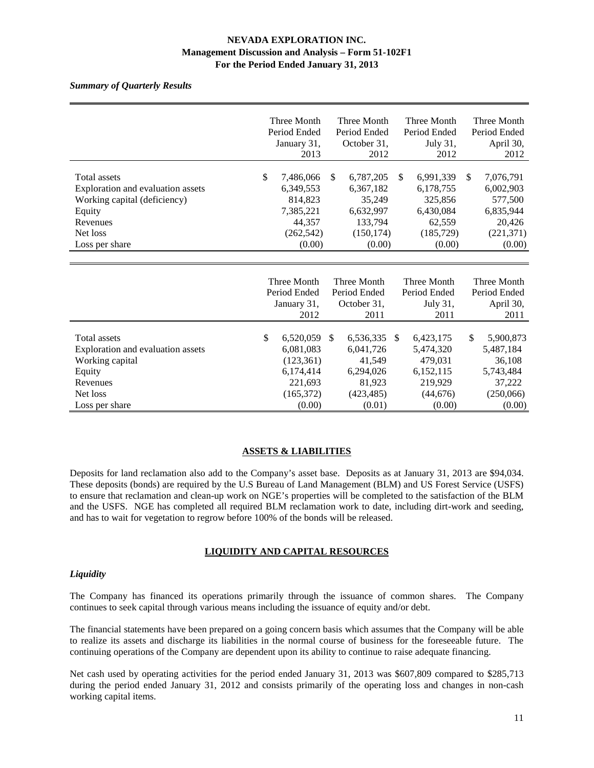### *Summary of Quarterly Results*

|                                   | Three Month   |              | Three Month   |              | Three Month   |              |               | Three Month  |
|-----------------------------------|---------------|--------------|---------------|--------------|---------------|--------------|---------------|--------------|
|                                   | Period Ended  |              | Period Ended  |              |               | Period Ended |               | Period Ended |
|                                   |               | January 31,  |               | October 31,  |               | July 31,     |               | April 30,    |
|                                   |               | 2013         |               | 2012         |               | 2012         |               | 2012         |
|                                   |               |              |               |              |               |              |               |              |
| <b>Total assets</b>               | $\mathcal{S}$ | 7,486,066    | <sup>\$</sup> | 6,787,205    | <sup>\$</sup> | 6,991,339    | \$            | 7,076,791    |
| Exploration and evaluation assets |               | 6,349,553    |               | 6,367,182    |               | 6,178,755    |               | 6,002,903    |
| Working capital (deficiency)      |               | 814,823      |               | 35,249       |               | 325,856      |               | 577,500      |
| Equity                            |               | 7,385,221    |               | 6,632,997    |               | 6,430,084    |               | 6,835,944    |
| Revenues                          |               | 44,357       |               | 133,794      |               | 62,559       |               | 20,426       |
| Net loss                          |               | (262, 542)   |               | (150, 174)   |               | (185, 729)   |               | (221, 371)   |
| Loss per share                    |               | (0.00)       |               | (0.00)       |               | (0.00)       |               | (0.00)       |
|                                   |               |              |               |              |               |              |               |              |
|                                   |               |              |               |              |               |              |               |              |
|                                   |               | Three Month  |               | Three Month  |               | Three Month  |               | Three Month  |
|                                   |               | Period Ended |               | Period Ended |               | Period Ended |               | Period Ended |
|                                   |               | January 31,  |               | October 31,  |               | July 31,     |               | April 30,    |
|                                   |               | 2012         |               | 2011         |               | 2011         |               | 2011         |
|                                   |               |              |               |              |               |              |               |              |
| <b>Total assets</b>               | \$            | 6,520,059    | <sup>\$</sup> | 6,536,335    | <sup>\$</sup> | 6,423,175    | <sup>\$</sup> | 5,900,873    |
| Exploration and evaluation assets |               | 6,081,083    |               | 6,041,726    |               | 5,474,320    |               | 5,487,184    |
| Working capital                   |               | (123, 361)   |               | 41.549       |               | 479,031      |               | 36,108       |
| Equity                            |               | 6,174,414    |               | 6,294,026    |               | 6,152,115    |               | 5,743,484    |
| Revenues                          |               | 221,693      |               | 81,923       |               | 219,929      |               | 37,222       |
| Net loss                          |               | (165, 372)   |               | (423, 485)   |               | (44,676)     |               | (250,066)    |
| Loss per share                    |               | (0.00)       |               | (0.01)       |               | (0.00)       |               | (0.00)       |

### **ASSETS & LIABILITIES**

Deposits for land reclamation also add to the Company's asset base. Deposits as at January 31, 2013 are \$94,034. These deposits (bonds) are required by the U.S Bureau of Land Management (BLM) and US Forest Service (USFS) to ensure that reclamation and clean-up work on NGE's properties will be completed to the satisfaction of the BLM and the USFS. NGE has completed all required BLM reclamation work to date, including dirt-work and seeding, and has to wait for vegetation to regrow before 100% of the bonds will be released.

### **LIQUIDITY AND CAPITAL RESOURCES**

### *Liquidity*

The Company has financed its operations primarily through the issuance of common shares. The Company continues to seek capital through various means including the issuance of equity and/or debt.

The financial statements have been prepared on a going concern basis which assumes that the Company will be able to realize its assets and discharge its liabilities in the normal course of business for the foreseeable future. The continuing operations of the Company are dependent upon its ability to continue to raise adequate financing.

Net cash used by operating activities for the period ended January 31, 2013 was \$607,809 compared to \$285,713 during the period ended January 31, 2012 and consists primarily of the operating loss and changes in non-cash working capital items.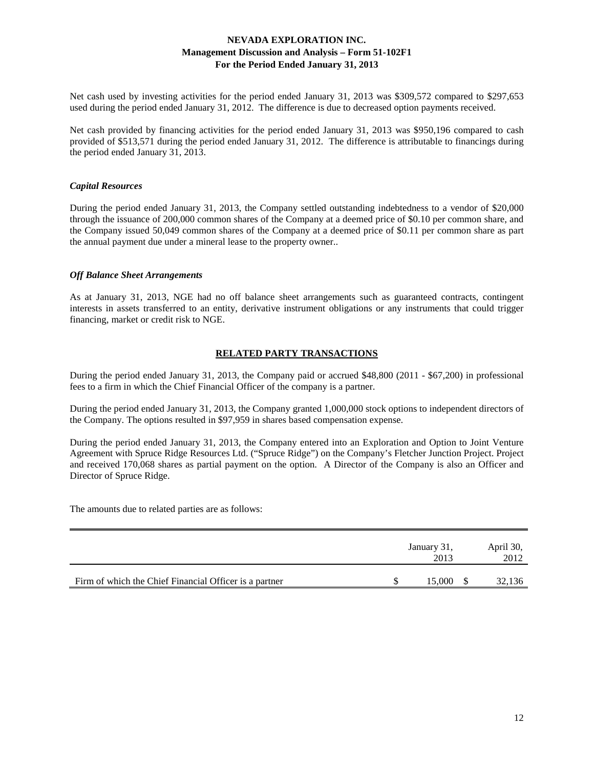Net cash used by investing activities for the period ended January 31, 2013 was \$309,572 compared to \$297,653 used during the period ended January 31, 2012. The difference is due to decreased option payments received.

Net cash provided by financing activities for the period ended January 31, 2013 was \$950,196 compared to cash provided of \$513,571 during the period ended January 31, 2012. The difference is attributable to financings during the period ended January 31, 2013.

#### *Capital Resources*

During the period ended January 31, 2013, the Company settled outstanding indebtedness to a vendor of \$20,000 through the issuance of 200,000 common shares of the Company at a deemed price of \$0.10 per common share, and the Company issued 50,049 common shares of the Company at a deemed price of \$0.11 per common share as part the annual payment due under a mineral lease to the property owner..

#### *Off Balance Sheet Arrangements*

As at January 31, 2013, NGE had no off balance sheet arrangements such as guaranteed contracts, contingent interests in assets transferred to an entity, derivative instrument obligations or any instruments that could trigger financing, market or credit risk to NGE.

### **RELATED PARTY TRANSACTIONS**

During the period ended January 31, 2013, the Company paid or accrued \$48,800 (2011 - \$67,200) in professional fees to a firm in which the Chief Financial Officer of the company is a partner.

During the period ended January 31, 2013, the Company granted 1,000,000 stock options to independent directors of the Company. The options resulted in \$97,959 in shares based compensation expense.

During the period ended January 31, 2013, the Company entered into an Exploration and Option to Joint Venture Agreement with Spruce Ridge Resources Ltd. ("Spruce Ridge") on the Company's Fletcher Junction Project. Project and received 170,068 shares as partial payment on the option. A Director of the Company is also an Officer and Director of Spruce Ridge.

The amounts due to related parties are as follows:

|                                                        |  | April 30,<br>2012 |        |
|--------------------------------------------------------|--|-------------------|--------|
| Firm of which the Chief Financial Officer is a partner |  | 15.000            | 32,136 |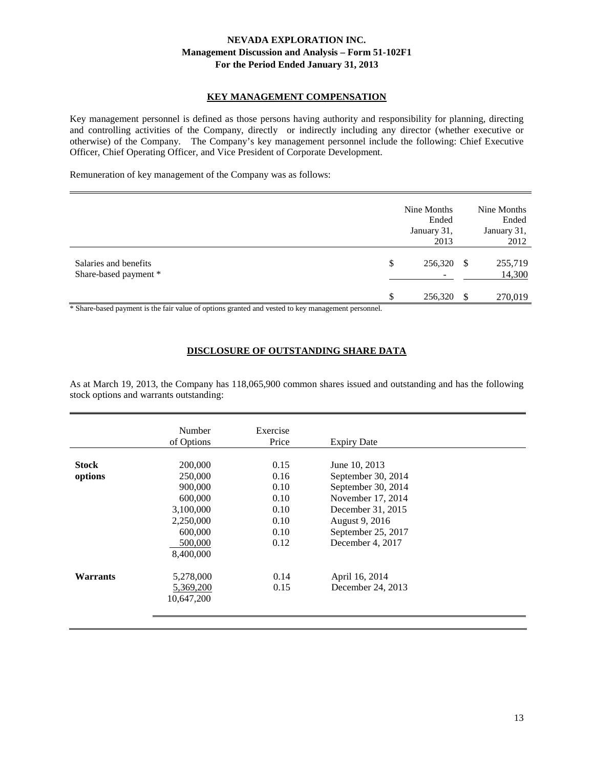# **KEY MANAGEMENT COMPENSATION**

Key management personnel is defined as those persons having authority and responsibility for planning, directing and controlling activities of the Company, directly or indirectly including any director (whether executive or otherwise) of the Company. The Company's key management personnel include the following: Chief Executive Officer, Chief Operating Officer, and Vice President of Corporate Development.

Remuneration of key management of the Company was as follows:

|                                                                                        | Nine Months<br>Ended<br>January 31,<br>2013 |     | Nine Months<br>Ended<br>January 31,<br>2012 |
|----------------------------------------------------------------------------------------|---------------------------------------------|-----|---------------------------------------------|
| Salaries and benefits<br>Share-based payment *                                         | \$<br>256,320                               | S   | 255,719<br>14,300                           |
| 4.01<br>$\cdots$ $\cdots$<br>$\sim$ $\sim$<br>.<br>$\sim$ 1.000 $\sim$<br>$\mathbf{r}$ | \$<br>256,320                               | \$. | 270,019                                     |

\* Share-based payment is the fair value of options granted and vested to key management personnel.

#### **DISCLOSURE OF OUTSTANDING SHARE DATA**

As at March 19, 2013, the Company has 118,065,900 common shares issued and outstanding and has the following stock options and warrants outstanding:

|                 | Number     | Exercise |                    |  |
|-----------------|------------|----------|--------------------|--|
|                 | of Options | Price    | <b>Expiry Date</b> |  |
|                 |            |          |                    |  |
| <b>Stock</b>    | 200,000    | 0.15     | June 10, 2013      |  |
| options         | 250,000    | 0.16     | September 30, 2014 |  |
|                 | 900,000    | 0.10     | September 30, 2014 |  |
|                 | 600,000    | 0.10     | November 17, 2014  |  |
|                 | 3,100,000  | 0.10     | December 31, 2015  |  |
|                 | 2,250,000  | 0.10     | August 9, 2016     |  |
|                 | 600,000    | 0.10     | September 25, 2017 |  |
|                 | 500,000    | 0.12     | December 4, 2017   |  |
|                 | 8,400,000  |          |                    |  |
|                 |            |          |                    |  |
| <b>Warrants</b> | 5,278,000  | 0.14     | April 16, 2014     |  |
|                 | 5,369,200  | 0.15     | December 24, 2013  |  |
|                 | 10,647,200 |          |                    |  |
|                 |            |          |                    |  |
|                 |            |          |                    |  |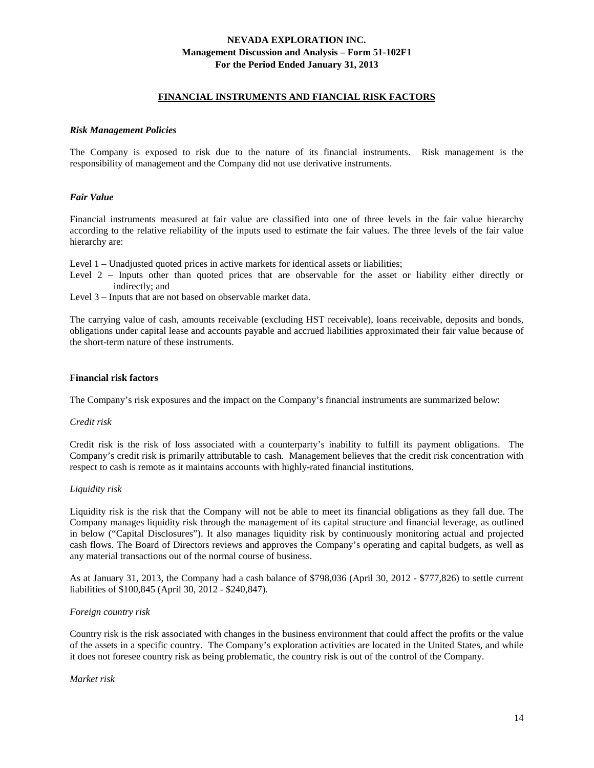#### **FINANCIAL INSTRUMENTS AND FIANCIAL RISK FACTORS**

#### *Risk Management Policies*

The Company is exposed to risk due to the nature of its financial instruments. Risk management is the responsibility of management and the Company did not use derivative instruments.

#### *Fair Value*

Financial instruments measured at fair value are classified into one of three levels in the fair value hierarchy according to the relative reliability of the inputs used to estimate the fair values. The three levels of the fair value hierarchy are:

Level 1 – Unadjusted quoted prices in active markets for identical assets or liabilities;

Level 2 – Inputs other than quoted prices that are observable for the asset or liability either directly or indirectly; and

Level 3 – Inputs that are not based on observable market data.

The carrying value of cash, amounts receivable (excluding HST receivable), loans receivable, deposits and bonds, obligations under capital lease and accounts payable and accrued liabilities approximated their fair value because of the short-term nature of these instruments.

#### **Financial risk factors**

The Company's risk exposures and the impact on the Company's financial instruments are summarized below:

#### *Credit risk*

Credit risk is the risk of loss associated with a counterparty's inability to fulfill its payment obligations. The Company's credit risk is primarily attributable to cash. Management believes that the credit risk concentration with respect to cash is remote as it maintains accounts with highly-rated financial institutions.

#### *Liquidity risk*

Liquidity risk is the risk that the Company will not be able to meet its financial obligations as they fall due. The Company manages liquidity risk through the management of its capital structure and financial leverage, as outlined in below ("Capital Disclosures"). It also manages liquidity risk by continuously monitoring actual and projected cash flows. The Board of Directors reviews and approves the Company's operating and capital budgets, as well as any material transactions out of the normal course of business.

As at January 31, 2013, the Company had a cash balance of \$798,036 (April 30, 2012 - \$777,826) to settle current liabilities of \$100,845 (April 30, 2012 - \$240,847).

#### *Foreign country risk*

Country risk is the risk associated with changes in the business environment that could affect the profits or the value of the assets in a specific country. The Company's exploration activities are located in the United States, and while it does not foresee country risk as being problematic, the country risk is out of the control of the Company.

#### *Market risk*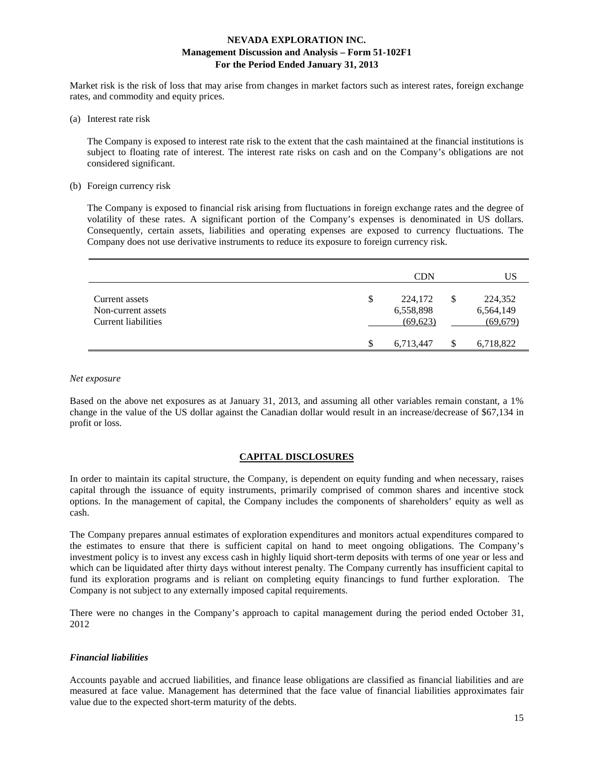Market risk is the risk of loss that may arise from changes in market factors such as interest rates, foreign exchange rates, and commodity and equity prices.

(a) Interest rate risk

The Company is exposed to interest rate risk to the extent that the cash maintained at the financial institutions is subject to floating rate of interest. The interest rate risks on cash and on the Company's obligations are not considered significant.

(b) Foreign currency risk

The Company is exposed to financial risk arising from fluctuations in foreign exchange rates and the degree of volatility of these rates. A significant portion of the Company's expenses is denominated in US dollars. Consequently, certain assets, liabilities and operating expenses are exposed to currency fluctuations. The Company does not use derivative instruments to reduce its exposure to foreign currency risk.

|                                                             | <b>CDN</b>                              | US                                      |
|-------------------------------------------------------------|-----------------------------------------|-----------------------------------------|
| Current assets<br>Non-current assets<br>Current liabilities | \$<br>224,172<br>6,558,898<br>(69, 623) | \$<br>224,352<br>6,564,149<br>(69, 679) |
|                                                             | \$<br>6,713,447                         | 6,718,822                               |

#### *Net exposure*

Based on the above net exposures as at January 31, 2013, and assuming all other variables remain constant, a 1% change in the value of the US dollar against the Canadian dollar would result in an increase/decrease of \$67,134 in profit or loss.

#### **CAPITAL DISCLOSURES**

In order to maintain its capital structure, the Company, is dependent on equity funding and when necessary, raises capital through the issuance of equity instruments, primarily comprised of common shares and incentive stock options. In the management of capital, the Company includes the components of shareholders' equity as well as cash.

The Company prepares annual estimates of exploration expenditures and monitors actual expenditures compared to the estimates to ensure that there is sufficient capital on hand to meet ongoing obligations. The Company's investment policy is to invest any excess cash in highly liquid short-term deposits with terms of one year or less and which can be liquidated after thirty days without interest penalty. The Company currently has insufficient capital to fund its exploration programs and is reliant on completing equity financings to fund further exploration. The Company is not subject to any externally imposed capital requirements.

There were no changes in the Company's approach to capital management during the period ended October 31, 2012

#### *Financial liabilities*

Accounts payable and accrued liabilities, and finance lease obligations are classified as financial liabilities and are measured at face value. Management has determined that the face value of financial liabilities approximates fair value due to the expected short-term maturity of the debts.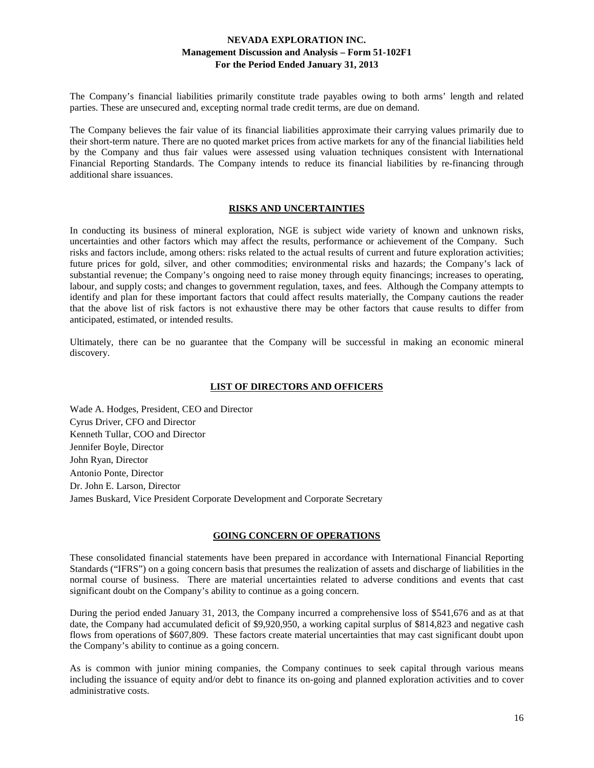The Company's financial liabilities primarily constitute trade payables owing to both arms' length and related parties. These are unsecured and, excepting normal trade credit terms, are due on demand.

The Company believes the fair value of its financial liabilities approximate their carrying values primarily due to their short-term nature. There are no quoted market prices from active markets for any of the financial liabilities held by the Company and thus fair values were assessed using valuation techniques consistent with International Financial Reporting Standards. The Company intends to reduce its financial liabilities by re-financing through additional share issuances.

# **RISKS AND UNCERTAINTIES**

In conducting its business of mineral exploration, NGE is subject wide variety of known and unknown risks, uncertainties and other factors which may affect the results, performance or achievement of the Company. Such risks and factors include, among others: risks related to the actual results of current and future exploration activities; future prices for gold, silver, and other commodities; environmental risks and hazards; the Company's lack of substantial revenue; the Company's ongoing need to raise money through equity financings; increases to operating, labour, and supply costs; and changes to government regulation, taxes, and fees. Although the Company attempts to identify and plan for these important factors that could affect results materially, the Company cautions the reader that the above list of risk factors is not exhaustive there may be other factors that cause results to differ from anticipated, estimated, or intended results.

Ultimately, there can be no guarantee that the Company will be successful in making an economic mineral discovery.

### **LIST OF DIRECTORS AND OFFICERS**

Wade A. Hodges, President, CEO and Director Cyrus Driver, CFO and Director Kenneth Tullar, COO and Director Jennifer Boyle, Director John Ryan, Director Antonio Ponte, Director Dr. John E. Larson, Director James Buskard, Vice President Corporate Development and Corporate Secretary

# **GOING CONCERN OF OPERATIONS**

These consolidated financial statements have been prepared in accordance with International Financial Reporting Standards ("IFRS") on a going concern basis that presumes the realization of assets and discharge of liabilities in the normal course of business. There are material uncertainties related to adverse conditions and events that cast significant doubt on the Company's ability to continue as a going concern.

During the period ended January 31, 2013, the Company incurred a comprehensive loss of \$541,676 and as at that date, the Company had accumulated deficit of \$9,920,950, a working capital surplus of \$814,823 and negative cash flows from operations of \$607,809. These factors create material uncertainties that may cast significant doubt upon the Company's ability to continue as a going concern.

As is common with junior mining companies, the Company continues to seek capital through various means including the issuance of equity and/or debt to finance its on-going and planned exploration activities and to cover administrative costs.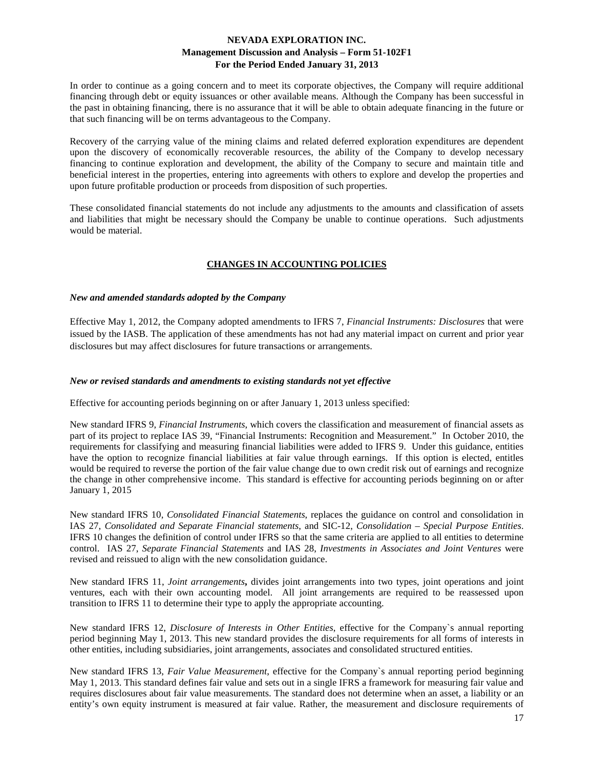In order to continue as a going concern and to meet its corporate objectives, the Company will require additional financing through debt or equity issuances or other available means. Although the Company has been successful in the past in obtaining financing, there is no assurance that it will be able to obtain adequate financing in the future or that such financing will be on terms advantageous to the Company.

Recovery of the carrying value of the mining claims and related deferred exploration expenditures are dependent upon the discovery of economically recoverable resources, the ability of the Company to develop necessary financing to continue exploration and development, the ability of the Company to secure and maintain title and beneficial interest in the properties, entering into agreements with others to explore and develop the properties and upon future profitable production or proceeds from disposition of such properties.

These consolidated financial statements do not include any adjustments to the amounts and classification of assets and liabilities that might be necessary should the Company be unable to continue operations. Such adjustments would be material.

# **CHANGES IN ACCOUNTING POLICIES**

#### *New and amended standards adopted by the Company*

Effective May 1, 2012, the Company adopted amendments to IFRS 7, *Financial Instruments: Disclosures* that were issued by the IASB. The application of these amendments has not had any material impact on current and prior year disclosures but may affect disclosures for future transactions or arrangements.

#### *New or revised standards and amendments to existing standards not yet effective*

Effective for accounting periods beginning on or after January 1, 2013 unless specified:

New standard IFRS 9, *Financial Instruments*, which covers the classification and measurement of financial assets as part of its project to replace IAS 39, "Financial Instruments: Recognition and Measurement." In October 2010, the requirements for classifying and measuring financial liabilities were added to IFRS 9. Under this guidance, entities have the option to recognize financial liabilities at fair value through earnings. If this option is elected, entitles would be required to reverse the portion of the fair value change due to own credit risk out of earnings and recognize the change in other comprehensive income. This standard is effective for accounting periods beginning on or after January 1, 2015

New standard IFRS 10, *Consolidated Financial Statements*, replaces the guidance on control and consolidation in IAS 27, *Consolidated and Separate Financial statements*, and SIC-12, *Consolidation – Special Purpose Entities*. IFRS 10 changes the definition of control under IFRS so that the same criteria are applied to all entities to determine control. IAS 27, *Separate Financial Statements* and IAS 28, *Investments in Associates and Joint Ventures* were revised and reissued to align with the new consolidation guidance.

New standard IFRS 11, *Joint arrangements***,** divides joint arrangements into two types, joint operations and joint ventures, each with their own accounting model. All joint arrangements are required to be reassessed upon transition to IFRS 11 to determine their type to apply the appropriate accounting.

New standard IFRS 12, *Disclosure of Interests in Other Entities*, effective for the Company`s annual reporting period beginning May 1, 2013. This new standard provides the disclosure requirements for all forms of interests in other entities, including subsidiaries, joint arrangements, associates and consolidated structured entities.

New standard IFRS 13, *Fair Value Measurement*, effective for the Company`s annual reporting period beginning May 1, 2013. This standard defines fair value and sets out in a single IFRS a framework for measuring fair value and requires disclosures about fair value measurements. The standard does not determine when an asset, a liability or an entity's own equity instrument is measured at fair value. Rather, the measurement and disclosure requirements of